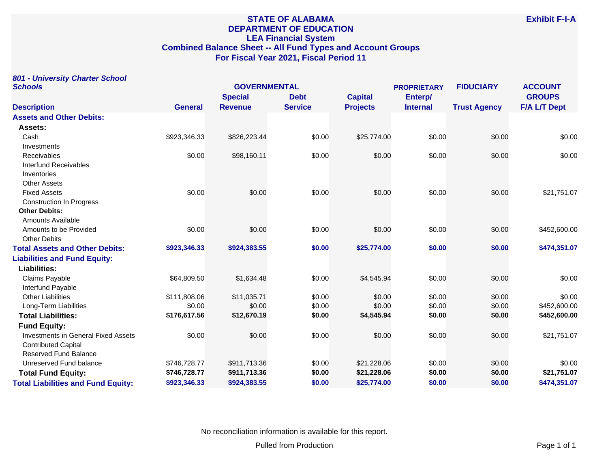# **STATE OF ALABAMA DEPARTMENT OF EDUCATION LEA Financial System Combined Balance Sheet -- All Fund Types and Account Groups For Fiscal Year 2021, Fiscal Period 11**

|         | 801 - University Charter School |  |
|---------|---------------------------------|--|
| Schools |                                 |  |

| <b>Schools</b>                             | <b>GOVERNMENTAL</b> |                |                | <b>PROPRIETARY</b> |                 | <b>FIDUCIARY</b>    | <b>ACCOUNT</b>      |
|--------------------------------------------|---------------------|----------------|----------------|--------------------|-----------------|---------------------|---------------------|
|                                            |                     | <b>Special</b> | <b>Debt</b>    | <b>Capital</b>     | Enterp/         |                     | <b>GROUPS</b>       |
| <b>Description</b>                         | <b>General</b>      | <b>Revenue</b> | <b>Service</b> | <b>Projects</b>    | <b>Internal</b> | <b>Trust Agency</b> | <b>F/A L/T Dept</b> |
| <b>Assets and Other Debits:</b>            |                     |                |                |                    |                 |                     |                     |
| Assets:                                    |                     |                |                |                    |                 |                     |                     |
| Cash                                       | \$923,346.33        | \$826,223.44   | \$0.00         | \$25,774.00        | \$0.00          | \$0.00              | \$0.00              |
| Investments                                |                     |                |                |                    |                 |                     |                     |
| <b>Receivables</b>                         | \$0.00              | \$98,160.11    | \$0.00         | \$0.00             | \$0.00          | \$0.00              | \$0.00              |
| <b>Interfund Receivables</b>               |                     |                |                |                    |                 |                     |                     |
| Inventories                                |                     |                |                |                    |                 |                     |                     |
| <b>Other Assets</b>                        |                     |                |                |                    |                 |                     |                     |
| <b>Fixed Assets</b>                        | \$0.00              | \$0.00         | \$0.00         | \$0.00             | \$0.00          | \$0.00              | \$21,751.07         |
| <b>Construction In Progress</b>            |                     |                |                |                    |                 |                     |                     |
| <b>Other Debits:</b>                       |                     |                |                |                    |                 |                     |                     |
| <b>Amounts Available</b>                   |                     |                |                |                    |                 |                     |                     |
| Amounts to be Provided                     | \$0.00              | \$0.00         | \$0.00         | \$0.00             | \$0.00          | \$0.00              | \$452,600.00        |
| <b>Other Debits</b>                        |                     |                |                |                    |                 |                     |                     |
| <b>Total Assets and Other Debits:</b>      | \$923,346.33        | \$924,383.55   | \$0.00         | \$25,774.00        | \$0.00          | \$0.00              | \$474,351.07        |
| <b>Liabilities and Fund Equity:</b>        |                     |                |                |                    |                 |                     |                     |
| Liabilities:                               |                     |                |                |                    |                 |                     |                     |
| Claims Payable                             | \$64,809.50         | \$1,634.48     | \$0.00         | \$4,545.94         | \$0.00          | \$0.00              | \$0.00              |
| Interfund Payable                          |                     |                |                |                    |                 |                     |                     |
| <b>Other Liabilities</b>                   | \$111,808.06        | \$11,035.71    | \$0.00         | \$0.00             | \$0.00          | \$0.00              | \$0.00              |
| Long-Term Liabilities                      | \$0.00              | \$0.00         | \$0.00         | \$0.00             | \$0.00          | \$0.00              | \$452,600.00        |
| <b>Total Liabilities:</b>                  | \$176,617.56        | \$12,670.19    | \$0.00         | \$4,545.94         | \$0.00          | \$0.00              | \$452,600.00        |
| <b>Fund Equity:</b>                        |                     |                |                |                    |                 |                     |                     |
| <b>Investments in General Fixed Assets</b> | \$0.00              | \$0.00         | \$0.00         | \$0.00             | \$0.00          | \$0.00              | \$21,751.07         |
| <b>Contributed Capital</b>                 |                     |                |                |                    |                 |                     |                     |
| Reserved Fund Balance                      |                     |                |                |                    |                 |                     |                     |
| Unreserved Fund balance                    | \$746,728.77        | \$911,713.36   | \$0.00         | \$21,228.06        | \$0.00          | \$0.00              | \$0.00              |
| <b>Total Fund Equity:</b>                  | \$746,728.77        | \$911,713.36   | \$0.00         | \$21,228.06        | \$0.00          | \$0.00              | \$21,751.07         |
| <b>Total Liabilities and Fund Equity:</b>  | \$923,346.33        | \$924,383.55   | \$0.00         | \$25,774.00        | \$0.00          | \$0.00              | \$474,351.07        |

No reconciliation information is available for this report.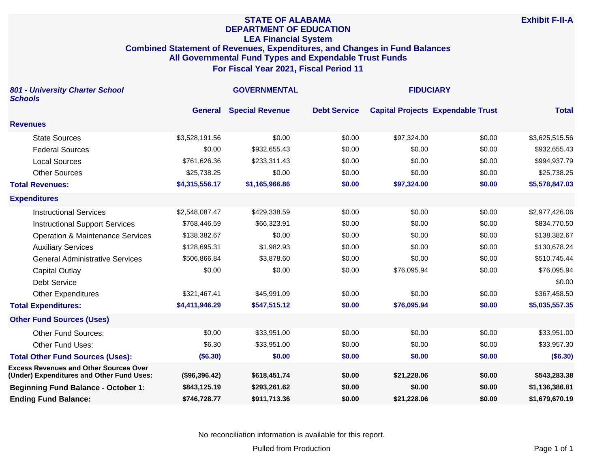#### **STATE OF ALABAMA DEPARTMENT OF EDUCATION LEA Financial System Combined Statement of Revenues, Expenditures, and Changes in Fund Balances All Governmental Fund Types and Expendable Trust Funds For Fiscal Year 2021, Fiscal Period 11**

| 801 - University Charter School<br><b>Schools</b>                                          |                | <b>GOVERNMENTAL</b>    | <b>FIDUCIARY</b>    |             |                                          |                |
|--------------------------------------------------------------------------------------------|----------------|------------------------|---------------------|-------------|------------------------------------------|----------------|
|                                                                                            | <b>General</b> | <b>Special Revenue</b> | <b>Debt Service</b> |             | <b>Capital Projects Expendable Trust</b> | <b>Total</b>   |
| <b>Revenues</b>                                                                            |                |                        |                     |             |                                          |                |
| <b>State Sources</b>                                                                       | \$3,528,191.56 | \$0.00                 | \$0.00              | \$97,324.00 | \$0.00                                   | \$3,625,515.56 |
| <b>Federal Sources</b>                                                                     | \$0.00         | \$932,655.43           | \$0.00              | \$0.00      | \$0.00                                   | \$932,655.43   |
| <b>Local Sources</b>                                                                       | \$761,626.36   | \$233,311.43           | \$0.00              | \$0.00      | \$0.00                                   | \$994,937.79   |
| <b>Other Sources</b>                                                                       | \$25,738.25    | \$0.00                 | \$0.00              | \$0.00      | \$0.00                                   | \$25,738.25    |
| <b>Total Revenues:</b>                                                                     | \$4,315,556.17 | \$1,165,966.86         | \$0.00              | \$97,324.00 | \$0.00                                   | \$5,578,847.03 |
| <b>Expenditures</b>                                                                        |                |                        |                     |             |                                          |                |
| <b>Instructional Services</b>                                                              | \$2,548,087.47 | \$429,338.59           | \$0.00              | \$0.00      | \$0.00                                   | \$2,977,426.06 |
| <b>Instructional Support Services</b>                                                      | \$768,446.59   | \$66,323.91            | \$0.00              | \$0.00      | \$0.00                                   | \$834,770.50   |
| <b>Operation &amp; Maintenance Services</b>                                                | \$138,382.67   | \$0.00                 | \$0.00              | \$0.00      | \$0.00                                   | \$138,382.67   |
| <b>Auxiliary Services</b>                                                                  | \$128,695.31   | \$1,982.93             | \$0.00              | \$0.00      | \$0.00                                   | \$130,678.24   |
| <b>General Administrative Services</b>                                                     | \$506,866.84   | \$3,878.60             | \$0.00              | \$0.00      | \$0.00                                   | \$510,745.44   |
| <b>Capital Outlay</b>                                                                      | \$0.00         | \$0.00                 | \$0.00              | \$76,095.94 | \$0.00                                   | \$76,095.94    |
| <b>Debt Service</b>                                                                        |                |                        |                     |             |                                          | \$0.00         |
| <b>Other Expenditures</b>                                                                  | \$321,467.41   | \$45,991.09            | \$0.00              | \$0.00      | \$0.00                                   | \$367,458.50   |
| <b>Total Expenditures:</b>                                                                 | \$4,411,946.29 | \$547,515.12           | \$0.00              | \$76,095.94 | \$0.00                                   | \$5,035,557.35 |
| <b>Other Fund Sources (Uses)</b>                                                           |                |                        |                     |             |                                          |                |
| <b>Other Fund Sources:</b>                                                                 | \$0.00         | \$33,951.00            | \$0.00              | \$0.00      | \$0.00                                   | \$33,951.00    |
| Other Fund Uses:                                                                           | \$6.30         | \$33,951.00            | \$0.00              | \$0.00      | \$0.00                                   | \$33,957.30    |
| <b>Total Other Fund Sources (Uses):</b>                                                    | (\$6.30)       | \$0.00                 | \$0.00              | \$0.00      | \$0.00                                   | (\$6.30)       |
| <b>Excess Revenues and Other Sources Over</b><br>(Under) Expenditures and Other Fund Uses: | (\$96,396.42)  | \$618,451.74           | \$0.00              | \$21,228.06 | \$0.00                                   | \$543,283.38   |
| <b>Beginning Fund Balance - October 1:</b>                                                 | \$843,125.19   | \$293,261.62           | \$0.00              | \$0.00      | \$0.00                                   | \$1,136,386.81 |
| <b>Ending Fund Balance:</b>                                                                | \$746,728.77   | \$911,713.36           | \$0.00              | \$21,228.06 | \$0.00                                   | \$1,679,670.19 |

No reconciliation information is available for this report.

**Exhibit F-II-A**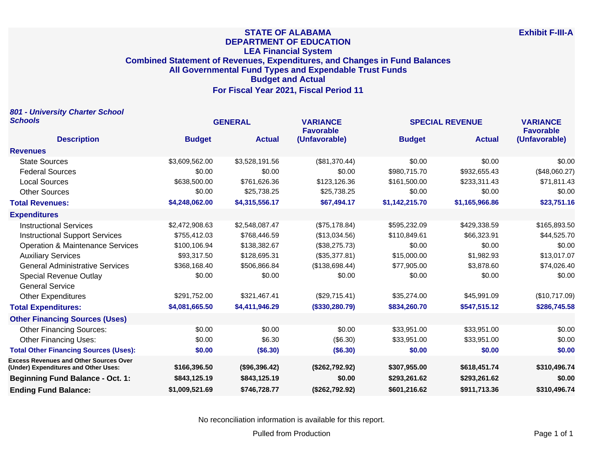## **STATE OF ALABAMA DEPARTMENT OF EDUCATION LEA Financial System Combined Statement of Revenues, Expenditures, and Changes in Fund Balances All Governmental Fund Types and Expendable Trust Funds Budget and Actual For Fiscal Year 2021, Fiscal Period 11**

| 801 - University Charter School                                                       |                |                |                                     |                        |                |                                     |
|---------------------------------------------------------------------------------------|----------------|----------------|-------------------------------------|------------------------|----------------|-------------------------------------|
| <b>Schools</b>                                                                        | <b>GENERAL</b> |                | <b>VARIANCE</b><br><b>Favorable</b> | <b>SPECIAL REVENUE</b> |                | <b>VARIANCE</b><br><b>Favorable</b> |
| <b>Description</b>                                                                    | <b>Budget</b>  | <b>Actual</b>  | (Unfavorable)                       | <b>Budget</b>          | <b>Actual</b>  | (Unfavorable)                       |
| <b>Revenues</b>                                                                       |                |                |                                     |                        |                |                                     |
| <b>State Sources</b>                                                                  | \$3,609,562.00 | \$3,528,191.56 | (\$81,370.44)                       | \$0.00                 | \$0.00         | \$0.00                              |
| <b>Federal Sources</b>                                                                | \$0.00         | \$0.00         | \$0.00                              | \$980,715.70           | \$932,655.43   | (\$48,060.27)                       |
| <b>Local Sources</b>                                                                  | \$638,500.00   | \$761,626.36   | \$123,126.36                        | \$161,500.00           | \$233,311.43   | \$71,811.43                         |
| <b>Other Sources</b>                                                                  | \$0.00         | \$25,738.25    | \$25,738.25                         | \$0.00                 | \$0.00         | \$0.00                              |
| <b>Total Revenues:</b>                                                                | \$4,248,062.00 | \$4,315,556.17 | \$67,494.17                         | \$1,142,215.70         | \$1,165,966.86 | \$23,751.16                         |
| <b>Expenditures</b>                                                                   |                |                |                                     |                        |                |                                     |
| <b>Instructional Services</b>                                                         | \$2,472,908.63 | \$2,548,087.47 | (\$75,178.84)                       | \$595,232.09           | \$429,338.59   | \$165,893.50                        |
| <b>Instructional Support Services</b>                                                 | \$755,412.03   | \$768,446.59   | (\$13,034.56)                       | \$110,849.61           | \$66,323.91    | \$44,525.70                         |
| <b>Operation &amp; Maintenance Services</b>                                           | \$100,106.94   | \$138,382.67   | (\$38,275.73)                       | \$0.00                 | \$0.00         | \$0.00                              |
| <b>Auxiliary Services</b>                                                             | \$93,317.50    | \$128,695.31   | (\$35,377.81)                       | \$15,000.00            | \$1,982.93     | \$13,017.07                         |
| <b>General Administrative Services</b>                                                | \$368,168.40   | \$506,866.84   | (\$138,698.44)                      | \$77,905.00            | \$3,878.60     | \$74,026.40                         |
| <b>Special Revenue Outlay</b>                                                         | \$0.00         | \$0.00         | \$0.00                              | \$0.00                 | \$0.00         | \$0.00                              |
| <b>General Service</b>                                                                |                |                |                                     |                        |                |                                     |
| <b>Other Expenditures</b>                                                             | \$291,752.00   | \$321,467.41   | (\$29,715.41)                       | \$35,274.00            | \$45,991.09    | (\$10,717.09)                       |
| <b>Total Expenditures:</b>                                                            | \$4,081,665.50 | \$4,411,946.29 | (\$330,280.79)                      | \$834,260.70           | \$547,515.12   | \$286,745.58                        |
| <b>Other Financing Sources (Uses)</b>                                                 |                |                |                                     |                        |                |                                     |
| <b>Other Financing Sources:</b>                                                       | \$0.00         | \$0.00         | \$0.00                              | \$33,951.00            | \$33,951.00    | \$0.00                              |
| <b>Other Financing Uses:</b>                                                          | \$0.00         | \$6.30         | (\$6.30)                            | \$33,951.00            | \$33,951.00    | \$0.00                              |
| <b>Total Other Financing Sources (Uses):</b>                                          | \$0.00         | (\$6.30)       | (\$6.30)                            | \$0.00                 | \$0.00         | \$0.00                              |
| <b>Excess Revenues and Other Sources Over</b><br>(Under) Expenditures and Other Uses: | \$166,396.50   | (\$96,396.42)  | (\$262,792.92)                      | \$307,955.00           | \$618,451.74   | \$310,496.74                        |
| <b>Beginning Fund Balance - Oct. 1:</b>                                               | \$843,125.19   | \$843,125.19   | \$0.00                              | \$293,261.62           | \$293,261.62   | \$0.00                              |
| <b>Ending Fund Balance:</b>                                                           | \$1,009,521.69 | \$746,728.77   | (\$262,792.92)                      | \$601,216.62           | \$911,713.36   | \$310,496.74                        |

No reconciliation information is available for this report.

Pulled from Production **Pulled from Production Page 1 of 1**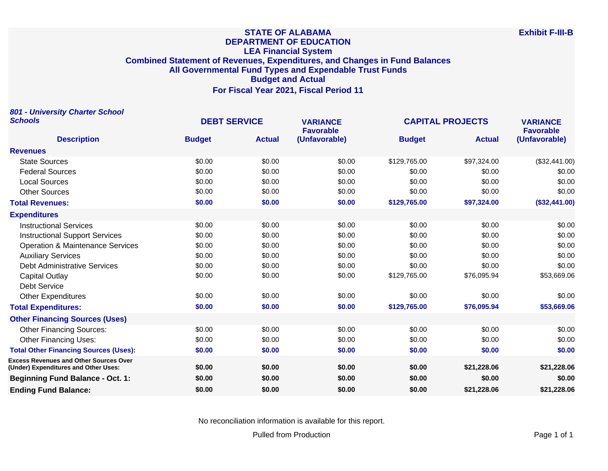#### **STATE OF ALABAMA DEPARTMENT OF EDUCATION LEA Financial System Combined Statement of Revenues, Expenditures, and Changes in Fund Balances All Governmental Fund Types and Expendable Trust Funds Budget and Actual For Fiscal Year 2021, Fiscal Period 11**

**801 - University Charter School Schools DEBT SERVICE VARIANCE CAPITAL PROJECTS VARIANCE Description Budget Actual Favorable (Unfavorable) Budget Actual Favorable (Unfavorable) Revenues** State Sources \$0.00 \$0.00 \$0.00 \$129,765.00 \$97,324.00 (\$32,441.00) 50.00 \$0.00 \$0.00 \$0.00 \$0.00 \$0.00 \$0.00 \$0.00 \$0.00 \$0.00 \$0.00 \$0.00 \$0.00 \$0.00 \$0.00 \$0.00 \$0.00 Local Sources \$0.00 \$0.00 \$0.00 \$0.00 \$0.00 \$0.00 Other Sources \$0.00 \$0.00 \$0.00 \$0.00 \$0.00 \$0.00 **Total Revenues: \$0.00 \$0.00 \$0.00 \$129,765.00 \$97,324.00 (\$32,441.00) Expenditures** Instructional Services \$0.00 \$0.00 \$0.00 \$0.00 \$0.00 \$0.00 Instructional Support Services \$0.00 \$0.00 \$0.00 \$0.00 \$0.00 \$0.00 Operation & Maintenance Services  $$0.00$  \$0.00  $$0.00$  \$0.00 \$0.00 \$0.00 \$0.00 \$0.00 \$0.00 Auxiliary Services \$0.00 \$0.00 \$0.00 \$0.00 \$0.00 \$0.00 Debt Administrative Services 60.00 \$0.00 \$0.00 \$0.00 \$0.00 \$0.00 \$0.00 \$0.00 \$0.00 \$0.00 Capital Outlay \$0.00 \$0.00 \$0.00 \$129,765.00 \$76,095.94 \$53,669.06 Debt Service Other Expenditures \$0.00 \$0.00 \$0.00 \$0.00 \$0.00 \$0.00 **Total Expenditures: \$0.00 \$0.00 \$0.00 \$129,765.00 \$76,095.94 \$53,669.06 Other Financing Sources (Uses)** Other Financing Sources:  $$0.00$   $$0.00$   $$0.00$   $$0.00$   $$0.00$   $$0.00$   $$0.00$   $$0.00$ Other Financing Uses: 60.00 \$0.00 \$0.00 \$0.00 \$0.00 \$0.00 \$0.00 \$0.00 \$0.00 \$0.00 \$0.00 **Total Other Financing Sources (Uses): \$0.00 \$0.00 \$0.00 \$0.00 \$0.00 \$0.00 Excess Revenues and Other Sources Over (Under) Expenditures and Other Uses: \$0.00 \$0.00 \$0.00 \$0.00 \$21,228.06 \$21,228.06 Beginning Fund Balance - Oct. 1: \$0.00 \$0.00 \$0.00 \$0.00 \$0.00 \$0.00 Ending Fund Balance: \$0.00 \$0.00 \$0.00 \$0.00 \$21,228.06 \$21,228.06**

No reconciliation information is available for this report.

Pulled from Production **Page 1 of 1** and 2 and 2 and 2 and 2 and 2 and 2 and 2 and 2 and 2 and 2 and 2 and 2 and 2 and 2 and 2 and 2 and 2 and 2 and 2 and 2 and 2 and 2 and 2 and 2 and 2 and 2 and 2 and 2 and 2 and 2 and 2